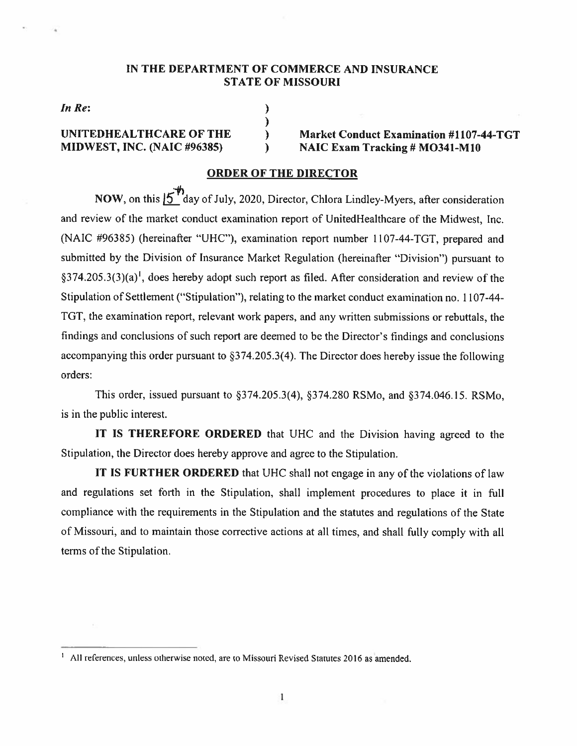#### IN THE DEPARTMENT OF COMMERCE AND INSURANCE STATE OF MISSOURI

In Re: )

UNITEDHEALTHCARE OF THE  $\qquad \qquad$  Market Conduct Examination #1107-44-TGT<br>MIDWEST, INC. (NAIC #96385)  $\qquad \qquad$  NAIC Exam Tracking # MO341-M10  $M = N AIC Exam Tracking # MO341-M10$ 

#### ORDER OF TIlE DIRECTOR

)

 $\lambda$ 

NOW, on this  $15^{\text{th}}$  day of July, 2020, Director, Chlora Lindley-Myers, after consideration and review of the market conduct examination repor<sup>t</sup> of UnitedHealthcare of the Midwest, Inc. (NAIC #96385) (hereinafter "UHC"), examination repor<sup>t</sup> number 1107-44-TGT, prepare<sup>d</sup> and submitted by the Division of Insurance Market Regulation (hereinafter "Division") pursuan<sup>t</sup> to §374.205.3(3)(a)<sup>1</sup>, does hereby adopt such report as filed. After consideration and review of the Stipulation of Settlement ("Stipulation"). relating to the market conduct examination no. 1107—44— TGT, the examination report. relevant work papers. and any written submissions or rebuttals, the findings and conclusions of such repor<sup>t</sup> are deemed to be the Director's findings and conclusions accompanying this order pursuan<sup>t</sup> to §374.205.3(4). The Director does hereby issue the following orders:

This order. issued pursuan<sup>t</sup> to §374.205.3(4), §374.280 RSMo. and 374.046.l5. RSMo. is in the public interest.

IT IS THEREFORE ORDERED that UHC and the Division having agreed to the Stipulation, the Director does hereby approve and agree to the Stipulation.

IT IS FURTHER ORDERED that UHC shall not engage in any of the violations of law and regulations set forth in the Stipulation, shall implement procedures to place it in full compliance with the requirements in the Stipulation and the statutes and regulations of the State of Missouri, and to maintain those corrective actions at all times, and shall fully comply with all terms of the Stipulation.

All references, unless otherwise noted, are to Missouri Revised Statutes 2016 as amended.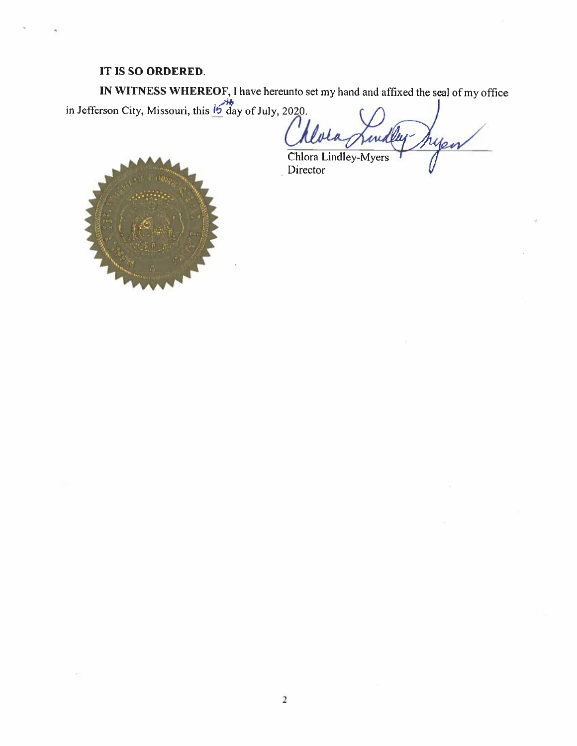### IT IS SO ORDERED.

IN WITNESS WHEREOF, I have hereunto set my hand and affixed the seal of my office<br>in Jefferson City, Missouri, this 15 day of July, 2020.

ryen irid

Chiora Lindley-Myers Director

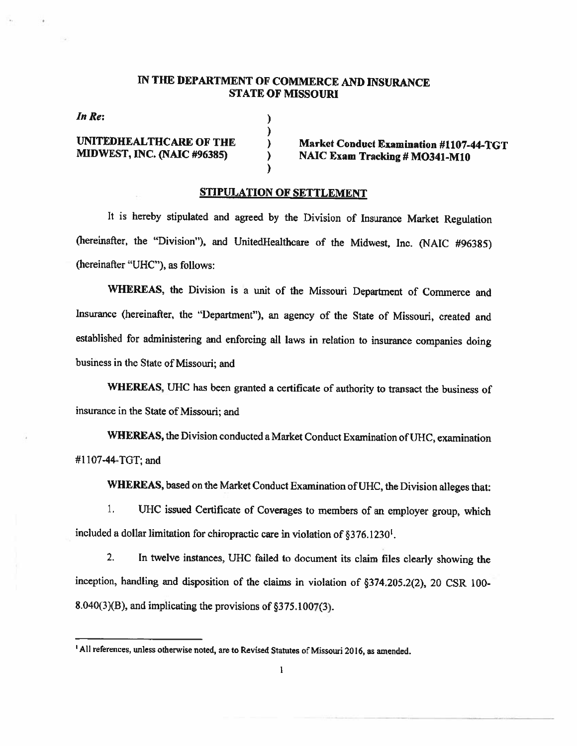#### IN THE DEPARTMENT OF COMMERCE AND INSURANCE STATE OF MISSOURI

In Re:

) UNITEDHEALTHCARE OF THE ) Market Conduct Examination #1107-44-TGT MIDWEST, INC. NAIC #96385) ) NAIC Exam Tracking # MO341-M1O

#### STIPULATION OF SETTLEMENT

)

℩

 $\lambda$ 

It is hereby stipulated and agreed by the Division of Insurance Market Regulation (hereinafter, the "Division"), and UnitedHealthcare of the Midwest, Inc. (NAIC #96385) (hereinafter "UHC"), as follows:

WHEREAS, the Division is <sup>a</sup> unit of the Missouri Department of Commerce and Insurance (hereinafter, the "Department"), an agency of the State of Missouri, created and established for administering and enforcing all laws in relation to insurance companies doing business in the State of Missouri; and

WHEREAS, UHC has been granted a certificate of authority to transact the business of insurance in the State of Missouri; and

WHEREAS, the Division conducted <sup>a</sup> Market Conduct Examination of UHC, examination #1107-44-TOT: and

WHEREAS, based on the Market Conduct Examination of UHC. the Division alleges that:

1. UHC issued Certificate of Coverages to members of an employer group, which included <sup>a</sup> dollar limitation for chiropractic care in violation of §376.1230'.

2. In twelve instances. UHC failed to document its claim files clearly showing the inception, handling and disposition of the claims in violation of §374.205.2(2), <sup>20</sup> CSR 100- 8.040(3)(B), and implicating the provisions of  $\S 375.1007(3)$ .

<sup>&#</sup>x27;All references, unless otherwise noted, are to Revised Statutes of Missouri 2016, as amended.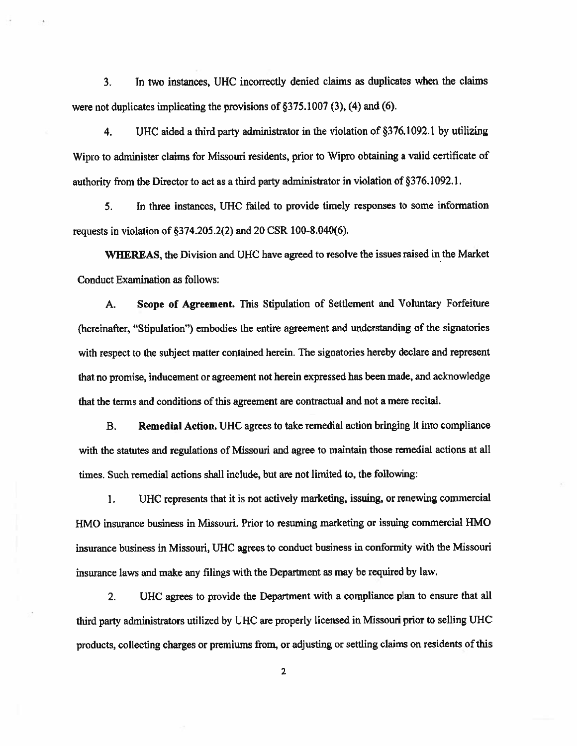3. In two instances, UHC incorrectly denied claims as duplicates when the claims were not duplicates implicating the provisions of §375.1007 (3), (4) and (6).

4. UHC aided <sup>a</sup> third party administrator in the violation of §376.1092.1 by utilizing Wipro to administer claims for Missouri residents, prior to Wipro obtaining <sup>a</sup> valid certificate of authority from the Director to act as <sup>a</sup> third party administrator in violation of §376.1092.1.

5. Tn three instances, UHC failed to provide timely responses to some information requests in violation of §374.205.2(2) and 20 CSR 100-8.040(6).

'WHEREAS, the Division and UHC have agreed to resolve the issues raised in the Market Conduct Examination as follows:

A. Scope of Agreement. This Stipulation of Settlement and Voluntary Forfeiture (hereinafter, "Stipulation") embodies the entire agreemen<sup>t</sup> and understanding of the signatories with respec<sup>t</sup> to the subject matter contained herein. The signatories hereby declare and represen<sup>t</sup> that no promise, inducement or agreemen<sup>t</sup> not herein expresse<sup>d</sup> has been made, and acknowledge that the terms and conditions of this agreemen<sup>t</sup> are contractual and not <sup>a</sup> mere recital.

B. Remedial Action, LIHC agrees to take remedial action bringing it into compliance with the statutes and regulations of Missouri and agree to maintain those remedial actions at all times. Such remedial actions shall include, but are not limited to. the following:

1. UHC represents that it is not actively marketing, issuing, or renewing commercial HMO insurance business in Missouri. Prior to resuming marketing or issuing commercial HMO insurance business in Missouri, UHC agrees to conduct business in confonnity with the Missouri insurance laws and make any filings with the Department as may be required by law.

2. UHC agrees to provide the Department with <sup>a</sup> compliance <sup>p</sup>lan to ensure that all third party administrators utilized by UHC are properly licensed in Missouri prior to selling UHC products, collecting charges or premiums from, or adjusting or settling claims on residents ofthis

2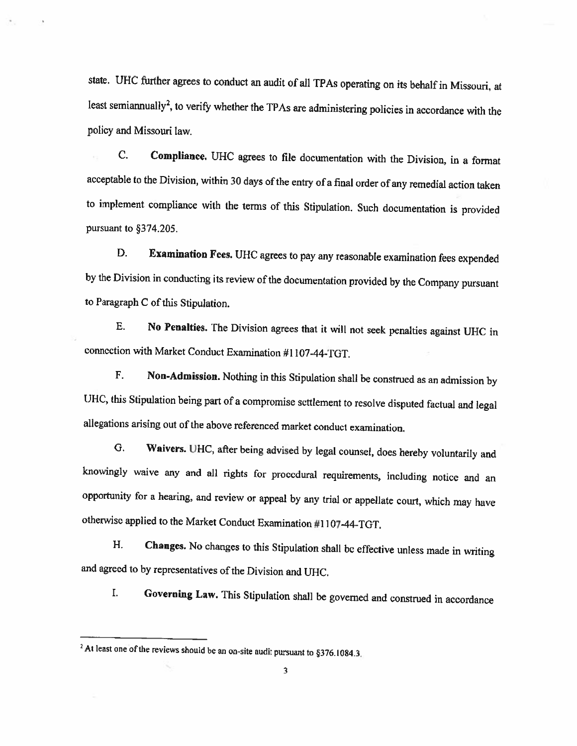state. UHC further agrees to conduct an audit of all TPAs operating on its behalf in Missouri, at least semiannually<sup>2</sup>, to verify whether the TPAs are administering policies in accordance with the policy and Missouri law.

C. Compliance. UHC agrees to file documentation with the Division, in a format acceptable to the Division, within 30 days of the entry of a final order of any remedial action taken to implement compliance with the terms of this Stipulation. Such documentation is provided pursuant to §374.205.

D. Examination Fees. UHC agrees to pay any reasonable examination fees expended by the Division in conducting its review of the documentation provided by the Company pursuant to Paragraph <sup>C</sup> of this Stipulation.

E. No Penalties. The Division agrees that it will not seek penalties against UHC in connection with Market Conduct Examination #1107-44-TGT.

F. Non-Admission. Nothing in this Stipulation shall he construed as an admission by UHC, this Stipulation being part of a compromise settlement to resolve disputed factual and legal allegations arising out of the above rcferenced market conduct examination.

G. Waivers. UHC, after being advised by legal counsel, does hereby voluntarily and knowingly waive any and all rights for procedural requirements, including notice and an opportunity for <sup>a</sup> hearing, and review or appeal by any trial or appellate court, which may have otherwise applied to the Market Conduct Examination #11 07-44-TGT.

H. Changes. No changes to this Stipulation shall be effective unless made in writing and agreed to by representatives of the Division and UHC.

I. Governing Law. This Stipulation shall be governed and construed in accordance

<sup>&</sup>lt;sup>2</sup> At least one of the reviews should be an on-site audit pursuant to  $§376.1084.3$ .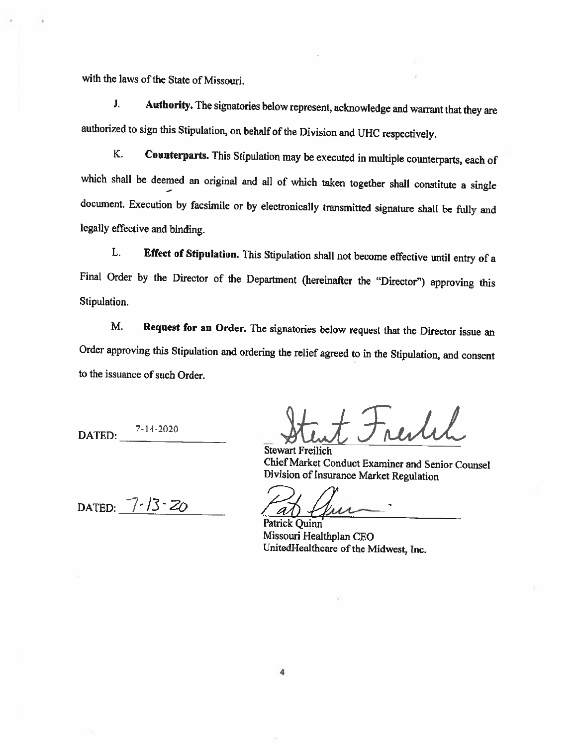with the laws of the State of Missouri.

J. Authority. The signatories below represent, acknowledge and warrant that they are authorized to sign this Stipulation, on behalf of the Division and UHC respectively.

K, Counterparts. This Stipulation may be executed in multiple counterparts, each of which shall be deemed an original and all of which taken together shall constitute <sup>a</sup> single document, Execution by facsimile or by electronically transmitted signature shall be fully and legally effective and binding.

L. Effect of Stipulation. This Stipulation shall not become effective until entry of <sup>a</sup> Final Order by the Director of the Department (hereinafter the "Director") approving this Stipulation.

M. Request for an Order. The signatories below request that the Director issue an Order approving this Stipulation and ordering the relief agreed to in the Stipulation, and consent to the issuance of such Order.

DATED: 7-11-2020

restil

Stewart Freilich Chief Market Conduct Examiner and Senior Counsel Division of Insurance Market Regulation

DATED:  $7-13-20$ 

Patrick Quinn Missouri Healthplan CEO UnitedHealthcare of the Midwest, Inc.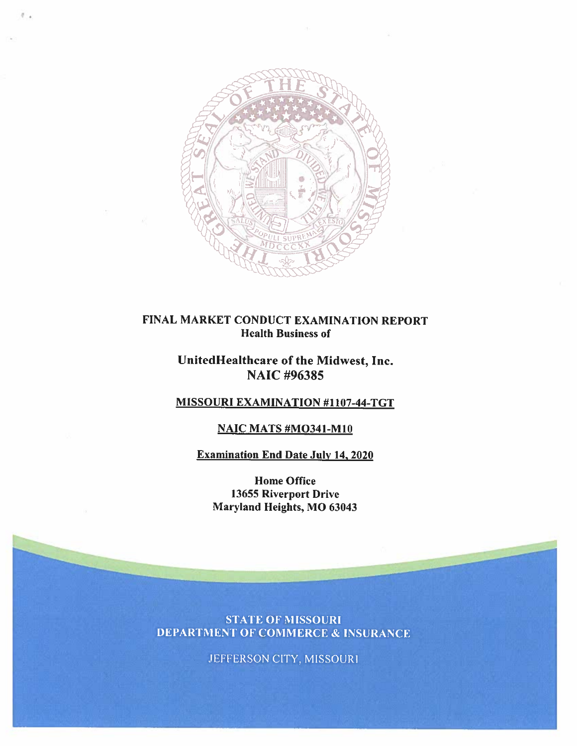

#### FINAL MARKET CONDUCT EXAMINATION REPORT Health Business of

## UnitedHealthcare of the Midwest, Inc. NAIC #96385

### MISSOURI EXAMINATION #1107-44-TGT

#### NAIC MATS #MO341-M1O

#### Examination End Date July 14. 2020

Home Office 13655 Riverport Drive Maryland Heights, MO 63043

**STATE OF MISSOURI DEPARTMENT OF COMMERCE & INSURANCE** 

JEFFERSON CITY, MISSOURI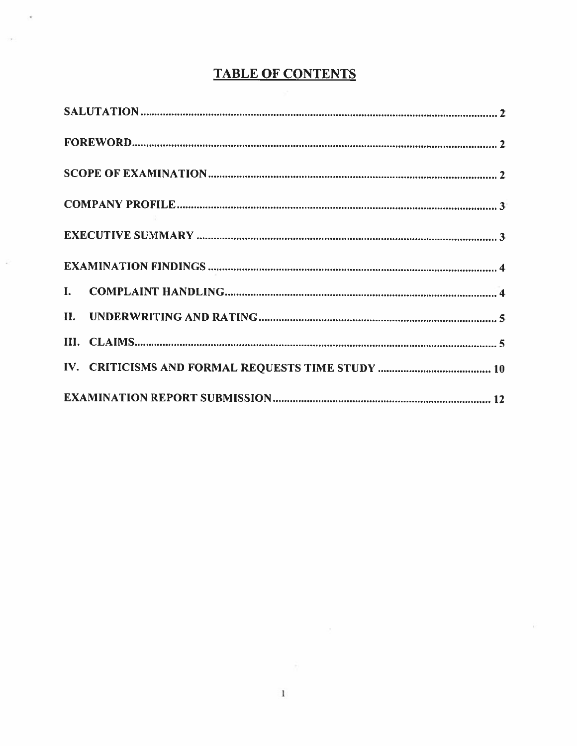# TABLE OF CONTENTS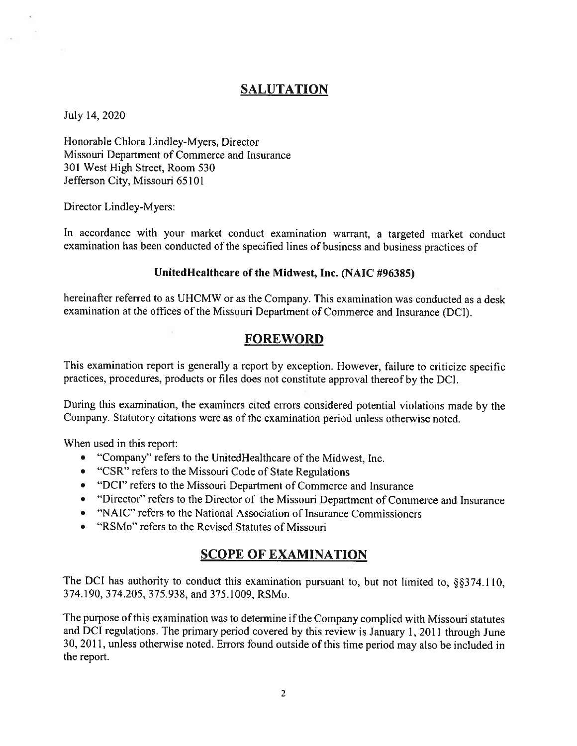## **SALUTATION**

July 14, 2020

Honorable Chlora Lind]ey-Myers, Director Missouri Department of Commerce and Insurance 301 West High Street, Room 530 Jefferson City, Missouri 65101

Director Lindley-Myers:

In accordance with your market conduct examination warrant, <sup>a</sup> targeted market conduct examination has been conducted of the specified lines of business and business practices of

#### UnitedHealthcare of the Midwest, Inc. (NAIC #96385)

hereinafter referred to as UHCMW or as the Company. This examination was conducted as a desk examination at the offices of the Missouri Department of Commerce and Insurance (DCI).

## FOREWORD

This examination repor<sup>t</sup> is generally <sup>a</sup> repor<sup>t</sup> by exception. However, failure to criticize specific practices, procedures, products or files does not constitute approva<sup>l</sup> thereof by the DCI.

During this examination, the examiners cited errors considered potential violations made by the Company. Statutory citations were as of the examination period unless otherwise noted.

When used in this report:

- "Company" refers to the UnitedHealthcare of the Midwest, Inc.
- "CSR" refers to the Missouri Code of State Regulations
- "DCI" refers to the Missouri Department of Commerce and Insurance
- "Director" refers to the Director of the Missouri Department of Commerce and Insurance
- "NAIC" refers to the National Association of Insurance Commissioners
- "RSMo" refers to the Revised Statutes of Missouri

## SCOPE OF EXAMINATION

The DCI has authority to conduct this examination pursuant to, but not limited to,  $\S$ §374.110, 374.190. 374.205, 375.938, and 375.1009. RSMo.

The purpose of this examination was to determine if the Company complied with Missouri statutes and DCI regulations. The primary period covered by this review is January 1. <sup>2011</sup> through June 30. 2011. unless otherwise noted. Errors found outside of this time period may also be included in the report.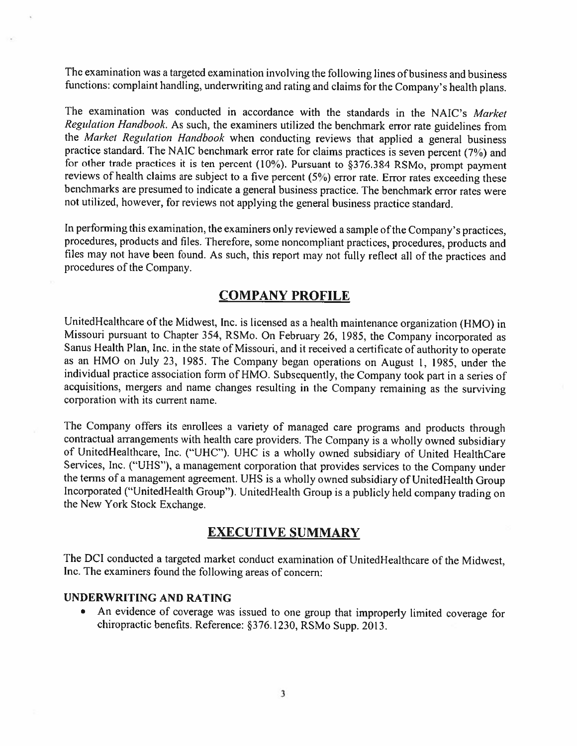The examination was <sup>a</sup> targeted examination involving the following lines of business and business functions: complaint handling, underwriting and rating and claims for the Company's health plans.

The examination was conducted in accordance with the standards in the NAIC's Market Regulation Handbook. As such, the examiners utilized the benchmark error rate guidelines from the Market Regulation Handbook when conducting reviews that applied a general business practice standard. The NAIC benchmark error rate for claims practices is seven percent (7%) and for other trade practices it is ten percent (10%). Pursuant to §376384 RSMo, prompt payment reviews of health claims are subject to a five percent (5%) error rate. Error rates exceeding these benchmarks are presumed to indicate <sup>a</sup> general business practice. The benchmark error rates were not utilized, however, for reviews not applying the general business practice standard.

In performing this examination, the examiners only reviewed a sample of the Company's practices, procedures, products and files. Therefore, some noncompliant practices, procedures, products and files may not have been found. As such, this report may not fully reflect all of the practices and procedures of the Company.

## COMPANY PROFILE

UnitedHealthcare of the Midwest, Inc. is licensed as a health maintenance organization (HMO) in Missouri pursuant to Chapter 354, RSMo. On February 26. 1985, the Company incorporated as Sanus Health Plan, Inc. in the state of Missouri, and it received <sup>a</sup> certificate of authority to operate as an HMO on July 23, 1985. The Company began operations on August 1, 1985, under the individual practice association form of HMO. Subsequently, the Company took part in a series of acquisitions. mergers and name changes resulting in the Company remaining as the surviving corporation with its current name.

The Company offers its enrollees <sup>a</sup> variety of managed care programs and products through contractual arrangements with health care providers. The Company is <sup>a</sup> wholly owned subsidiary of UnitedHealthcare, Inc. ("UHC"). UHC is <sup>a</sup> wholly owned subsidiary of United HealthCare Services, Inc. ("UHS"), <sup>a</sup> management corporation that provides services to the Company under the terms of <sup>a</sup> management agreement. UHS is <sup>a</sup> wholly owned subsidiary of UnitedHealth Group Incorporated ("UnitedHealth Group"). UnitedHealth Group is a publicly held company trading on the New York Stock Exchange.

#### EXECUTIVE SUMMARY

The DCI conducted <sup>a</sup> targeted market conduct examination of UnitedHealthcare of the Midwest. Inc. The examiners found the following areas of concern:

#### UNDERWRITING AND RATING

• An evidence of coverage was issued to one group that improperly limited coverage for chiropractic benefits. Reference: §376.1230. RSMo Supp. 2013.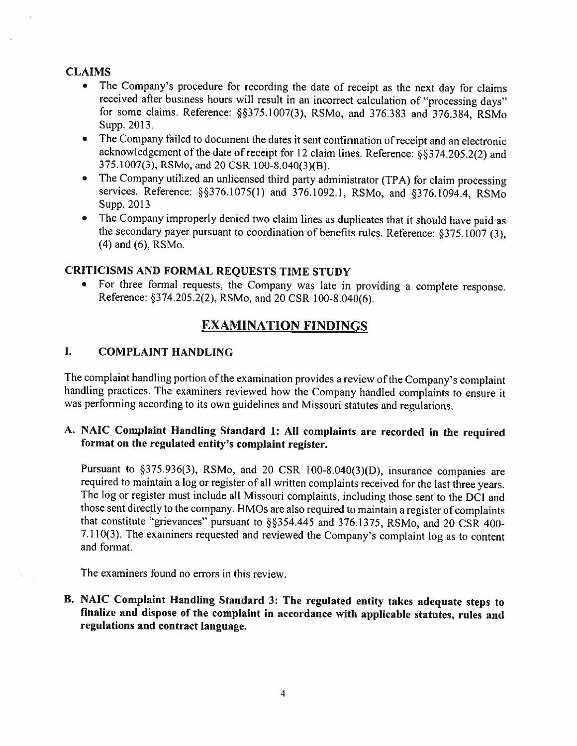#### **CLAIMS**

- • The Company's procedure for recording the date of receipt as the next day for claims received after business hours will result in an incorrect calculation of "processing days" for some claims. Reference: §375.1007(3), RSMo, and 376.383 and 376.384. RSMo Supp. 2013.
- • The Company failed to document the dates it sent confirmation of receipt and an electronic acknowledgement of the date of receipt for 12 claim lines. Reference: §§374.205.2(2) and 375.1007(3). RSMo, and 20 CSR lOO-\$.040(3)(B).
- • The Company utilized an unlicenscd third party administrator (TPA) for claim processing services. Reference: §§376.1075(1) and 376.1092.1, RSMo, and §376.1094.4, RSMo Supp. 2013
- • The Company improperly denied two claim lines as duplicates that it should have paid as the secondary payer pursuant to coordination of benefits rules. Reference: §375.1007 (3). (4) and (6). RSMo.

#### CRITICISMS AND FORMAL REQUESTS TIME STUDY

• For three formal requests, the Company was late in providing <sup>a</sup> complete response. Reference: §374.205.2(2). RSMo, and <sup>20</sup> CSR 100-8,040(6).

### EXANIINATION FINDiNGS

#### L COMPLAINT HANDLING

The complaint handling portion of the examination provides <sup>a</sup> review of the Company's complaint handling practices. The examiners reviewed how the Company handled complaints to ensure it was performing according to its own guidelines and Missouri statutes and regulations.

### A. NAIC Complaint Handling Standard 1: All complaints are recorded in the required format on the regulated entity's complaint register.

Pursuant to §375.936(3), RSMo, and 20 CSR 100-8.040(3)(D), insurance companies are required to maintain <sup>a</sup> log or register of all written complaints received for the last three years. The log or register must include all Missouri complaints, including those sent to the DCI and those sent directly to the company. HMOs are also required to maintain a register of complaints that constitute "grievances" pursuant to §§354.445 and 376.1375, RSMo, and 20 CSR 400-7.110(3). The examiners requested and reviewed the Company's complaint log as to content and format.

The examiners found no errors in this review.

B. NAIC Complaint Handling Standard 3: The regulated entity takes adequate steps to finalize and dispose of the complaint in accordance with applicable statutes, rules and regulations and contract language.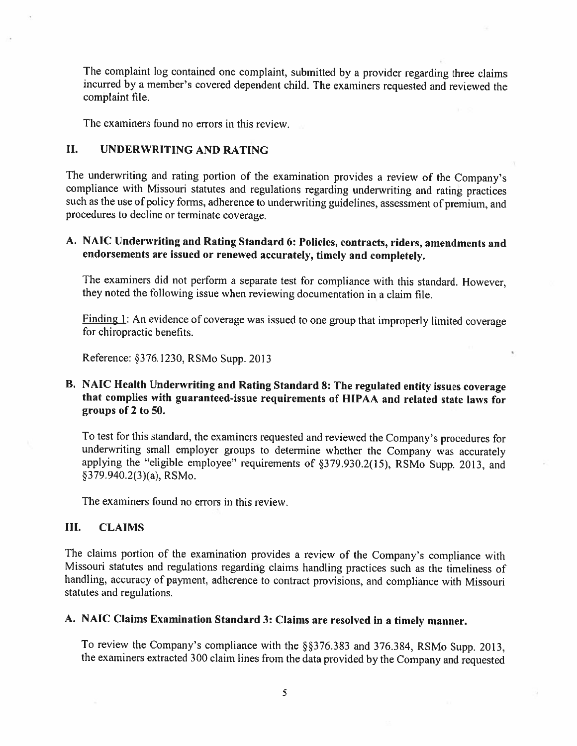The complaint log contained one complaint, submitted by <sup>a</sup> provider regarding three claims incurred by <sup>a</sup> member's covered dependent child. The examiners requested and reviewed the complaint file.

The examiners found no errors in this review.

#### II. UNDERWRITING AND RATING

The underwriting and rating portion of the examination provides <sup>a</sup> review of the Company's compliance with Missouri statutes and regulations regarding underwriting and rating practices such as the use of policy forms, adherence to underwriting guidelines, assessment of premium, and procedures to decline or terminate coverage.

#### A. NAIC Underwriting and Rating Standard 6: Policies, contracts, riders, amendments and endorsements are issued or renewed accurately, timely and completely.

The examiners did not perform <sup>a</sup> separate test for compliance with this standard. However. they noted the following issue when reviewing documentation in <sup>a</sup> claim file.

Finding I: An evidence of coverage was issued to one group that improperly limited coverage for chiropractic benefits.

Reference: §376.1230, RSMo Supp. 2013

#### B. NAIC Health Underwriting and Rating Standard 8: The regulated entity issues coverage that complies with guaranteed-issue requirements of HIPAA and related state laws for groups of 2 to 50.

To test for this standard, the examiners requested and reviewed the Company's procedures for underwriting small employer groups to determine whether the Company was accurately applying the "eligible employee" requirements of §379.930.2(15), RSMo Supp. 2013, and §379.940.2(3)(a), RSMo.

The examiners found no errors in this review.

#### III. CLAIMS

The claims portion of the examination provides <sup>a</sup> review of the Company's compliance with Missouri statutes and regulations regarding claims handling practices such as the timeliness of handling, accuracy of payment, adherence to contract provisions, and compliance with Missouri statutes and regulations.

## A. NAIC Claims Examination Standard 3: Claims are resolved in <sup>a</sup> timely manner.

To review the Company's compliance with the §§376.383 and 376.384, RSMo Supp. 2013, the examiners extracted <sup>300</sup> claim lines from the data provided by the Company and requested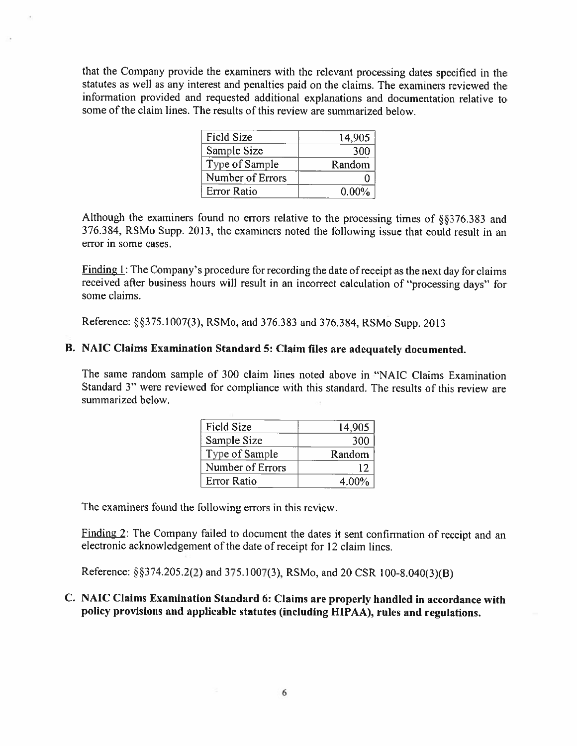that the Company provide the examiners with the relevant processing dates specified in the statutes as well as any interest and penalties paid on the claims. The examiners reviewed the information provided and requested additional explanations and documentation relative to some of the claim lines. The results of this review are summarized below.

| <b>Field Size</b>  | 14,905   |
|--------------------|----------|
| Sample Size        | 300      |
| Type of Sample     | Random   |
| Number of Errors   |          |
| <b>Error Ratio</b> | $0.00\%$ |

Although the examiners found no errors relative to the processing times of §§376.383 and 376.384, RSMo Supp. 2013, the examiners noted the following issue that could result in an error in some cases.

Finding  $1$ : The Company's procedure for recording the date of receipt as the next day for claims received after business hours will result in an incorrect calculation of "processing days" for some claims.

Reference: §§375.1007(3), RSMo, and 376.383 and 376.384, RSMo Supp. 2013

#### B. NAIC Claims Examination Standard 5: Claim files are adequately documented.

The same random sample of 300 claim lines noted above in "NAIC Claims Examination Standard 3" were reviewed for compliance with this standard. The results of this review are summarized below.

| <b>Field Size</b>  | 14,905 |
|--------------------|--------|
| Sample Size        | 300    |
| Type of Sample     | Random |
| Number of Errors   | 12     |
| <b>Error Ratio</b> | 4.00%  |

The examiners found the following errors in this review.

Finding 2: The Company failed to document the dates it sent confirmation of receipt and an electronic acknowledgement of the date of receipt for <sup>12</sup> claim lines.

Reference: §374.205.2(2) and 375.1007(3), RSMo, and <sup>20</sup> CSR lOO-8.040(3)(B)

#### C. NAIC Claims Examination Standard 6: Claims are properly handled in accordance with policy provisions and applicable statutes (including HIPAA), rules and regulations.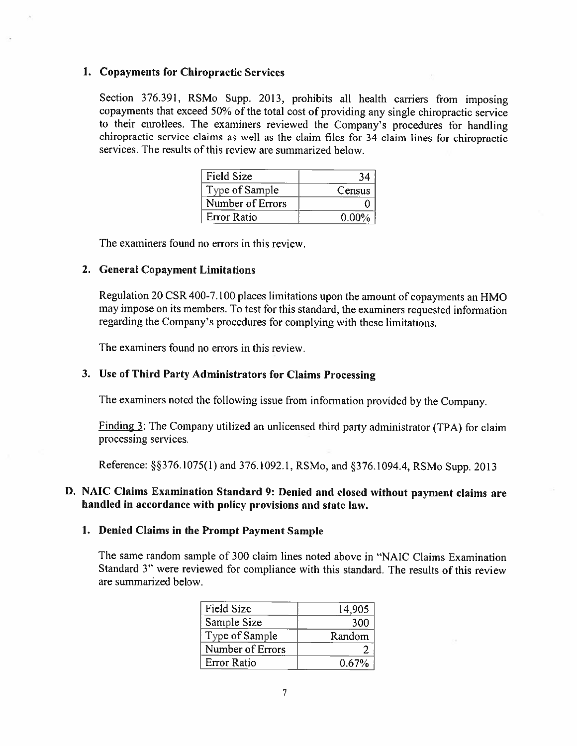#### 1. Copayments for Chiropractic Services

Section 376.391, RSMo Supp. 2013, prohibits all health carriers from imposing copayments that exceed 50% of the total cost of providing any single chiropractic service to their enrollees. The examiners reviewed the Company's procedures for handling chiropractic service claims as well as the claim files for <sup>34</sup> claim lines for chiropractic services. The results of this review are summarized below.

| <b>Field Size</b> | 34       |
|-------------------|----------|
| Type of Sample    | Census   |
| Number of Errors  |          |
| Error Ratio       | $0.00\%$ |

The examiners found no errors in this review.

#### 2. Ceneral Copayment Limitations

Regulation <sup>20</sup> CSR 400-7.100 <sup>p</sup>laces limitations upon the amount of copayments an HMO may impose on its members. To test for this standard, the examiners requested information regarding the Company's procedures for complying with these limitations.

The examiners found no errors in this review.

#### 3. Usc of Third Party Administrators for Claims Processing

The examiners noted the following issue from information provided by the Company.

Finding 3: The Company utilized an unlicensed third party administrator (TPA) for claim processing services.

Reference: §§376.1075(1) and 376.1092.1, RSMo, and §376.1094.4, RSMo Supp. 2013

#### D. NAIC Claims Examination Standard 9: Denied and closed without payment claims are handled in accordance with policy provisions and state law

#### 1. Denied Claims in the Prompt Payment Sample

The same random sample of 300 claim lines noted above in "NAIC Claims Examination Standard 3" were reviewed for compliance with this standard. The results of this review are summarized below.

| <b>Field Size</b>  | 14,905 |
|--------------------|--------|
| Sample Size        | 300    |
| Type of Sample     | Random |
| Number of Errors   |        |
| <b>Error Ratio</b> | 0.67%  |
|                    |        |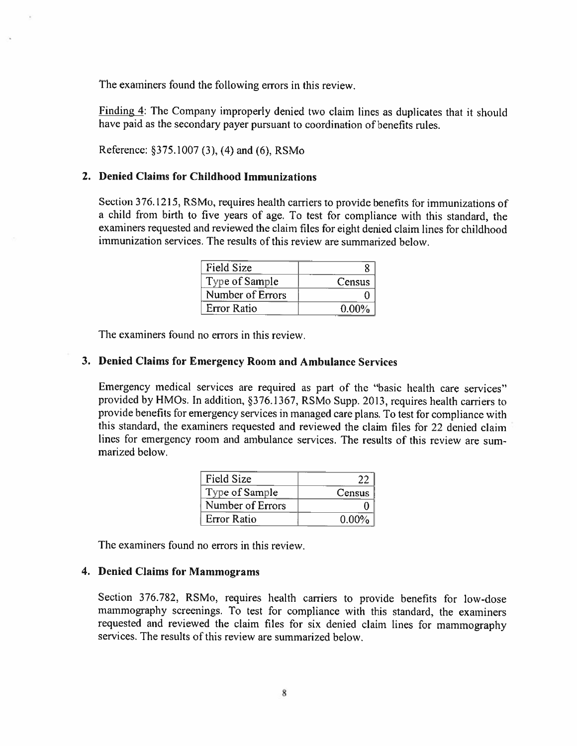The examiners found the following errors in this review.

Finding 4: The Company improperly denied two claim lines as duplicates that it should have paid as the secondary payer pursuant to coordination of benefits rules.

Reference: 375.1007 (3). (4) and (6). RSMo

#### 2. Denied Claims for Childhood Immunizations

Section 376.1215, RSMo, requires health carriers to provide benefits for immunizations of <sup>a</sup> child from birth to five years of age. To test for compliance with this standard, the examiners requested and reviewed the claim files for eight denied claim lines for childhood immunization services. The results of this review are summarized below.

| Field Size       |          |
|------------------|----------|
| Type of Sample   | Census   |
| Number of Errors |          |
| Error Ratio      | $0.00\%$ |

The examiners found no errors in this review.

#### 3. Denied Claims for Emergency Room and Ambulance Services

Emergency medical services are required as part of the "basic health care services" provided by HMOs. In addition, §376.1367, RSMo Supp. 2013, requires health carriers to provide benefits for emergency services in managed care <sup>p</sup>lans. To test for compliance with this standard, the examiners requested and reviewed the claim tiles for <sup>22</sup> denied claim lines for emergency room and ambulance services. The results of this review are sum marized below.

| <b>Field Size</b>  | 22       |
|--------------------|----------|
| Type of Sample     | Census   |
| Number of Errors   |          |
| <b>Error Ratio</b> | $0.00\%$ |

The examiners found no errors in this review

#### 4. Denicd Claims for Mammograms

Section 376.782, RSMo, requires health carriers to provide benefits for low-dose mammography screenings. To test for compliance with this standard, the examiners requested and reviewed the claim tiles for six denied claim lines for mammography services. The results of this review are summarized below.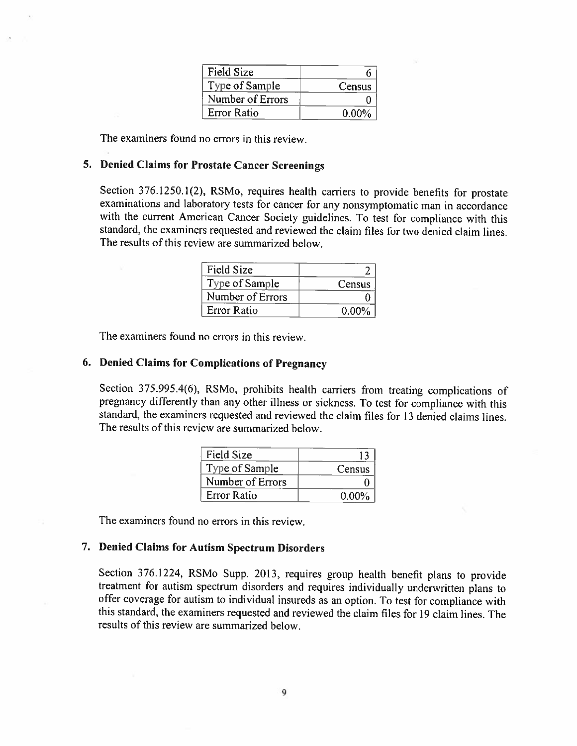| Field Size         |          |
|--------------------|----------|
| Type of Sample     | Census   |
| Number of Errors   |          |
| <b>Error Ratio</b> | $0.00\%$ |

The examiners found no errors in this review.

#### 5. Denied Claims for Prostate Cancer Screenings

Section 376.1250.1(2), RSMo, requires health carriers to provide benefits for prostate examinations and laboratory tests for cancer for any nonsymptomatic man in accordance with the current American Cancer Society guidelines. To test for compliance with this standard, the examiners requested and reviewed the claim files for two denied claim lines. The results of this review are summarized below.

| <b>Field Size</b> |          |
|-------------------|----------|
| Type of Sample    | Census   |
| Number of Errors  |          |
| Error Ratio       | $0.00\%$ |

The examiners found no errors in this review.

#### 6. Denied Claims for Complications of Pregnancy

Section 375.995.4(6). RSMo. prohibits health carriers from treating complications of pregnancy differently than any other illness or sickness. To test for compliance with this standard, the examiners requested and reviewed the claim files for 13 denied claims lines. The results of this review are summarized below.

| <b>Field Size</b>  |          |
|--------------------|----------|
| Type of Sample     | Census   |
| Number of Errors   |          |
| <b>Error Ratio</b> | $0.00\%$ |

The examiners found no errors in this review.

#### 7. Denied Claims for Autism Spectrum Disorders

Section 376.1224. RSMo Supp. 2013, requires group health benefit <sup>p</sup>lans to provide treatment for autism spectrum disorders and requires individually underwritten <sup>p</sup>lans to offer coverage for autism to individual insureds as an option. To test for compliance with this standard, the examiners requested and reviewed the claim tiles for 19 claim lines. The results of this review are summarized below.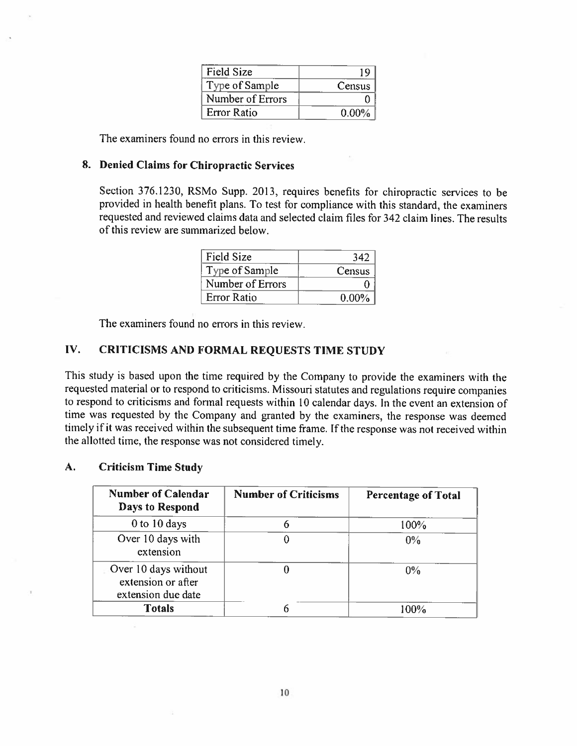| <b>Field Size</b>  |          |
|--------------------|----------|
| Type of Sample     | Census   |
| Number of Errors   |          |
| <b>Error Ratio</b> | $0.00\%$ |

The examiners found no errors in this review.

#### 8. Denied Claims for Chiropractic Services

Section 376.1230, RSMo Supp. 2013, requires benefits for chiropractic services to be provided in health benefit <sup>p</sup>lans. To test for compliance with this standard, the examiners requested and reviewed claims data and selected claim files for 342 claim lines. The results of this review are summarized below.

| <b>Field Size</b>  | 342      |
|--------------------|----------|
| Type of Sample     | Census   |
| Number of Errors   |          |
| <b>Error Ratio</b> | $0.00\%$ |

The examiners found no errors in this review.

#### LV. CRITICISMS AND FORMAL REQUESTS TIME STUDY

This study is based upon the time required by the Company to provide the examiners with the requested material or to respond to criticisms. Missouri statutes and regulations require companies to respond to criticisms and formal requests within 10 calendar days. In the event an extension of time was requested by the Company and granted by the examiners, the response was deemed timely if it was received within the subsequent time frame. If the response was not received within the allotted time, the response was not considered timely.

#### A. Criticism Time Study

| <b>Number of Calendar</b><br>Days to Respond                     | <b>Number of Criticisms</b> | <b>Percentage of Total</b> |
|------------------------------------------------------------------|-----------------------------|----------------------------|
| 0 to 10 days                                                     | 6                           | 100%                       |
| Over 10 days with<br>extension                                   |                             | $0\%$                      |
| Over 10 days without<br>extension or after<br>extension due date |                             | 0%                         |
| <b>Totals</b>                                                    |                             | 100%                       |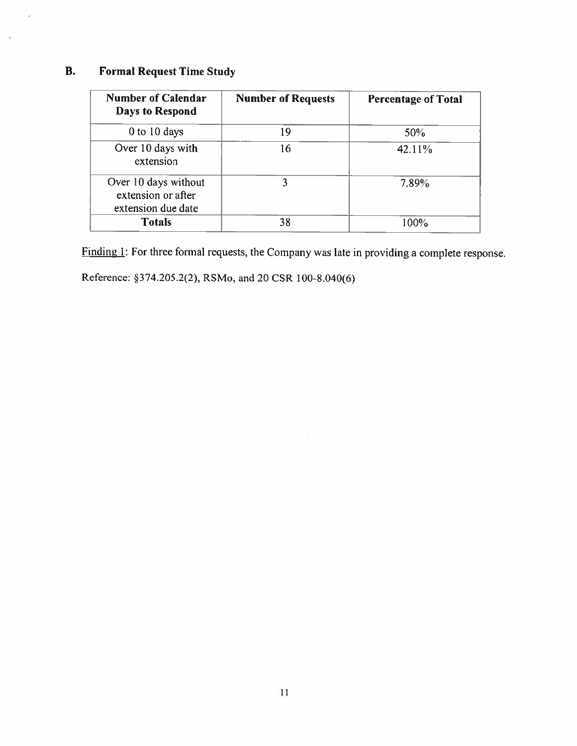## B. Formal Request Time Study

 $\bar{\epsilon}$ 

| <b>Number of Calendar</b><br><b>Days to Respond</b>              | <b>Number of Requests</b> | <b>Percentage of Total</b> |
|------------------------------------------------------------------|---------------------------|----------------------------|
| $0$ to $10$ days                                                 | 19                        | 50%                        |
| Over 10 days with<br>extension                                   | 16                        | 42.11%                     |
| Over 10 days without<br>extension or after<br>extension due date |                           | 7.89%                      |
| <b>Totals</b>                                                    | 38                        | 100%                       |

Finding 1: For three formal requests, the Company was late in providing a complete response.

Reference: §374.205.2(2), RSMo. and 20 CSR 100-8.040(6)